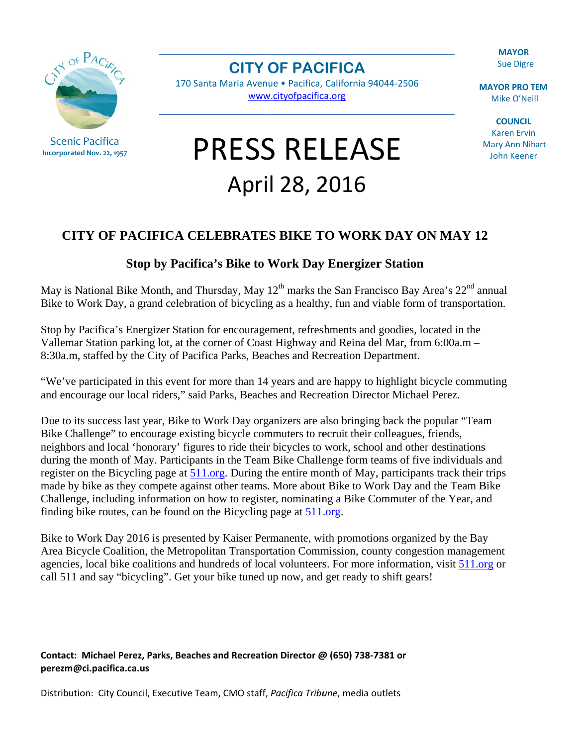**MAYOR Sue Digre** 

NOF PACK

**Scenic Pacifica** Incorporated Nov. 22, 1957 **CITY OF PACIFICA** 

170 Santa Maria Avenue · Pacifica, California 94044-2506 www.cityofpacifica.org

**PRESS RELEASE** 

April 28, 2016

**MAYOR PRO TEM** Mike O'Neill

**COUNCIL Karen Ervin Mary Ann Nihart** John Keener

## **CITY OF PACIFICA CELEBRATES BIKE TO WORK DAY ON MAY 12**

## **Stop by Pacifica's Bike to Work Day Energizer Station**

May is National Bike Month, and Thursday, May 12<sup>th</sup> marks the San Francisco Bay Area's 22<sup>nd</sup> annual Bike to Work Day, a grand celebration of bicycling as a healthy, fun and viable form of transportation.

Stop by Pacifica's Energizer Station for encouragement, refreshments and goodies, located in the Vallemar Station parking lot, at the corner of Coast Highway and Reina del Mar, from 6:00a.m – 8:30a.m, staffed by the City of Pacifica Parks, Beaches and Recreation Department.

"We've participated in this event for more than 14 years and are happy to highlight bicycle commuting and encourage our local riders," said Parks, Beaches and Recreation Director Michael Perez.

Due to its success last year, Bike to Work Day organizers are also bringing back the popular "Team" Bike Challenge" to encourage existing bicycle commuters to recruit their colleagues, friends, neighbors and local 'honorary' figures to ride their bicycles to work, school and other destinations during the month of May. Participants in the Team Bike Challenge form teams of five individuals and register on the Bicycling page at 511.org. During the entire month of May, participants track their trips made by bike as they compete against other teams. More about Bike to Work Day and the Team Bike Challenge, including information on how to register, nominating a Bike Commuter of the Year, and finding bike routes, can be found on the Bicycling page at 511.org.

Bike to Work Day 2016 is presented by Kaiser Permanente, with promotions organized by the Bay Area Bicycle Coalition, the Metropolitan Transportation Commission, county congestion management agencies, local bike coalitions and hundreds of local volunteers. For more information, visit 511.org or call 511 and say "bicycling". Get your bike tuned up now, and get ready to shift gears!

Contact: Michael Perez, Parks, Beaches and Recreation Director @ (650) 738-7381 or perezm@ci.pacifica.ca.us

Distribution: City Council, Executive Team, CMO staff, Pacifica Tribune, media outlets